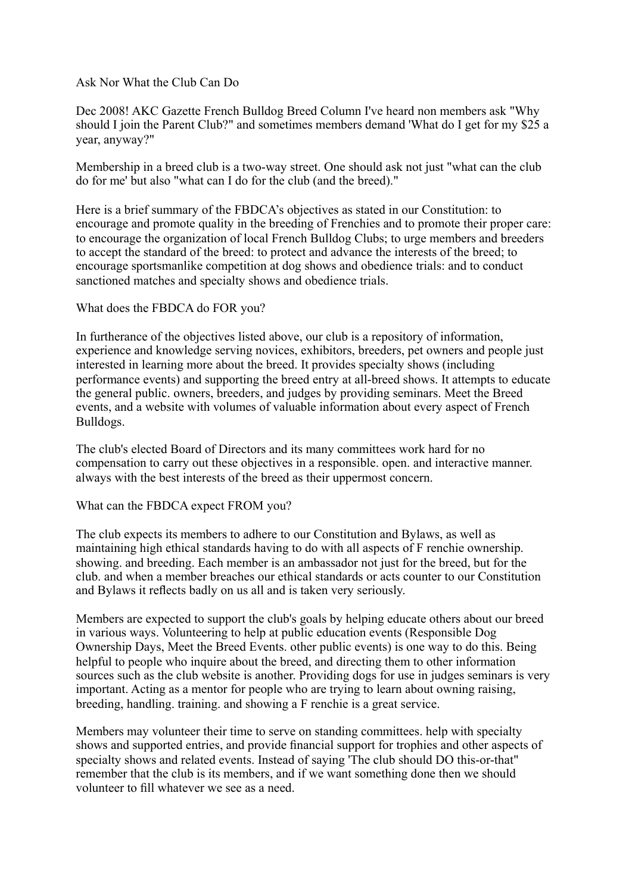Ask Nor What the Club Can Do

Dec 2008! AKC Gazette French Bulldog Breed Column I've heard non members ask "Why should I join the Parent Club?" and sometimes members demand 'What do I get for my \$25 a year, anyway?"

Membership in a breed club is a two-way street. One should ask not just "what can the club do for me' but also "what can I do for the club (and the breed)."

Here is a brief summary of the FBDCA's objectives as stated in our Constitution: to encourage and promote quality in the breeding of Frenchies and to promote their proper care: to encourage the organization of local French Bulldog Clubs; to urge members and breeders to accept the standard of the breed: to protect and advance the interests of the breed; to encourage sportsmanlike competition at dog shows and obedience trials: and to conduct sanctioned matches and specialty shows and obedience trials.

What does the FBDCA do FOR you?

In furtherance of the objectives listed above, our club is a repository of information, experience and knowledge serving novices, exhibitors, breeders, pet owners and people just interested in learning more about the breed. It provides specialty shows (including performance events) and supporting the breed entry at all-breed shows. It attempts to educate the general public. owners, breeders, and judges by providing seminars. Meet the Breed events, and a website with volumes of valuable information about every aspect of French Bulldogs.

The club's elected Board of Directors and its many committees work hard for no compensation to carry out these objectives in a responsible. open. and interactive manner. always with the best interests of the breed as their uppermost concern.

What can the FBDCA expect FROM you?

The club expects its members to adhere to our Constitution and Bylaws, as well as maintaining high ethical standards having to do with all aspects of F renchie ownership. showing. and breeding. Each member is an ambassador not just for the breed, but for the club. and when a member breaches our ethical standards or acts counter to our Constitution and Bylaws it reflects badly on us all and is taken very seriously.

Members are expected to support the club's goals by helping educate others about our breed in various ways. Volunteering to help at public education events (Responsible Dog Ownership Days, Meet the Breed Events. other public events) is one way to do this. Being helpful to people who inquire about the breed, and directing them to other information sources such as the club website is another. Providing dogs for use in judges seminars is very important. Acting as a mentor for people who are trying to learn about owning raising, breeding, handling. training. and showing a F renchie is a great service.

Members may volunteer their time to serve on standing committees. help with specialty shows and supported entries, and provide financial support for trophies and other aspects of specialty shows and related events. Instead of saying 'The club should DO this-or-that" remember that the club is its members, and if we want something done then we should volunteer to fill whatever we see as a need.